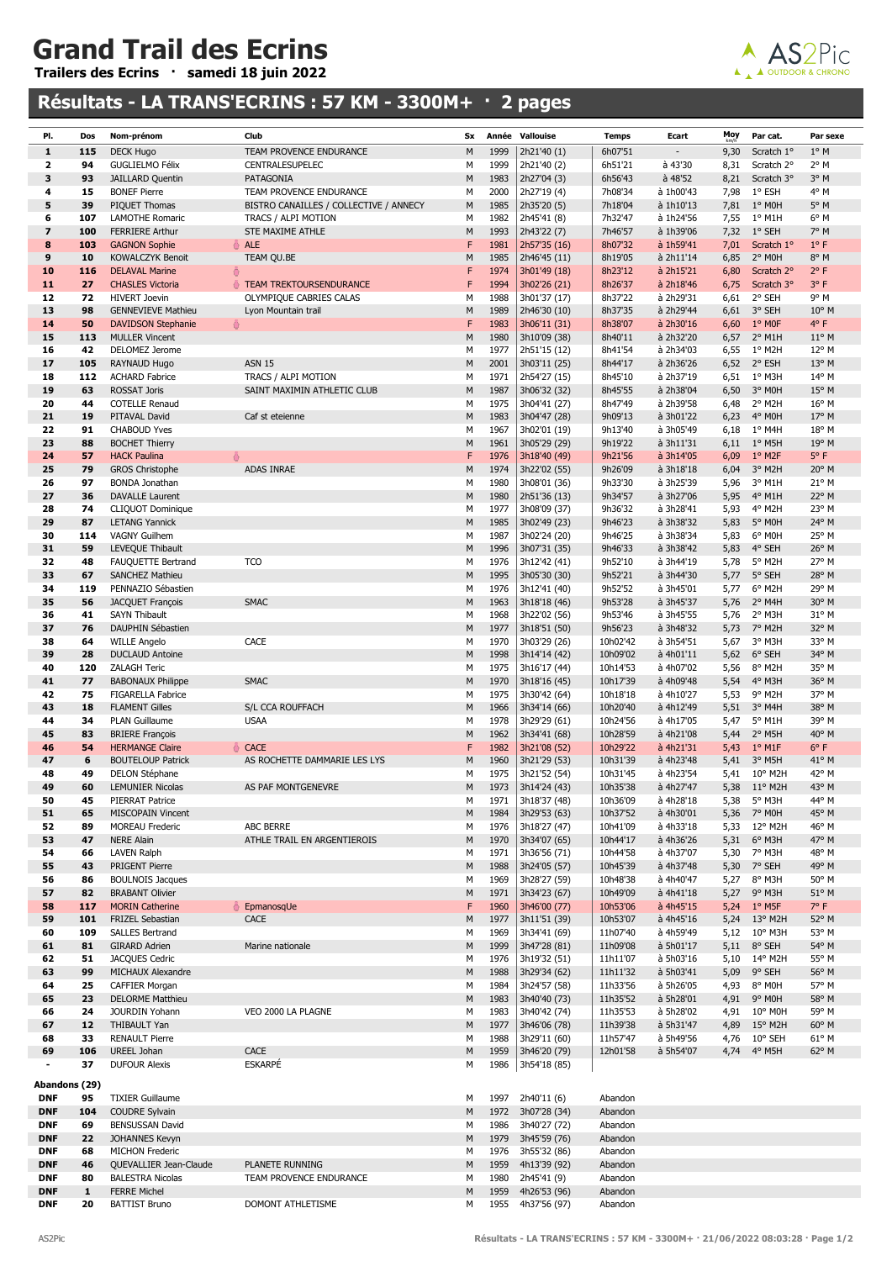## Grand Trail des Ecrins

Trailers des Ecrins · samedi 18 juin 2022

## Résultats - LA TRANS'ECRINS : 57 KM - 3300M+ · 2 pages



| PI.                      | Dos                | Nom-prénom                                       | Club                                               | Sx        |              | Année Vallouise              | <b>Temps</b>         | Ecart                  | Moy          | Par cat.              | Par sexe              |
|--------------------------|--------------------|--------------------------------------------------|----------------------------------------------------|-----------|--------------|------------------------------|----------------------|------------------------|--------------|-----------------------|-----------------------|
| $\mathbf{1}$             | 115                | <b>DECK Hugo</b>                                 | TEAM PROVENCE ENDURANCE                            | M         | 1999         | 2h21'40 (1)                  | 6h07'51              |                        | 9,30         | Scratch 1°            | $1^{\circ}$ M         |
| $\overline{\mathbf{z}}$  | 94                 | <b>GUGLIELMO Félix</b>                           | <b>CENTRALESUPELEC</b>                             | М         | 1999         | 2h21'40 (2)                  | 6h51'21              | à 43'30                | 8,31         | Scratch 2°            | 2° M                  |
| 3                        | 93                 | <b>JAILLARD Quentin</b>                          | PATAGONIA                                          | M         | 1983         | 2h27'04 (3)                  | 6h56'43              | $a$ 48'52              | 8,21         | Scratch 3°            | $3°$ M                |
| 4                        | 15                 | <b>BONEF Pierre</b>                              | TEAM PROVENCE ENDURANCE                            | M         | 2000         | 2h27'19 (4)                  | 7h08'34              | à 1h00'43              | 7,98         | $1^{\circ}$ ESH       | 4° M                  |
| 5                        | 39                 | PIQUET Thomas                                    | BISTRO CANAILLES / COLLECTIVE / ANNECY             | M         | 1985         | 2h35'20 (5)                  | 7h18'04              | à 1h10'13              | 7,81         | 1° MOH                | $5^\circ$ M           |
| 6                        | 107                | LAMOTHE Romaric                                  | TRACS / ALPI MOTION                                | M         | 1982         | 2h45'41 (8)                  | 7h32'47              | à 1h24'56              | 7,55         | $1^{\circ}$ M1H       | $6^{\circ}$ M         |
| $\overline{\mathbf{z}}$  | 100                | <b>FERRIERE Arthur</b>                           | STE MAXIME ATHLE                                   | M         | 1993         | 2h43'22 (7)                  | 7h46'57              | à 1h39'06              | 7,32         | $1^\circ$ SEH         | 7° M                  |
| 8                        | 103                | <b>GAGNON Sophie</b>                             | ♣ ALE                                              | F         | 1981         | 2h57'35 (16)                 | 8h07'32              | à 1h59'41              | 7,01         | Scratch 1°            | $1^{\circ}$ F         |
| 9                        | 10                 | KOWALCZYK Benoit                                 | TEAM QU.BE                                         | M<br>F    | 1985<br>1974 | 2h46'45 (11)                 | 8h19'05              | à 2h11'14              | 6,85         | 2° MOH<br>Scratch 2°  | 8° M<br>$2^{\circ}$ F |
| 10                       | 116                | <b>DELAVAL Marine</b><br>흉                       |                                                    | F         | 1994         | 3h01'49 (18)                 | 8h23'12              | à 2h15'21              | 6,80         |                       | 3° F                  |
| 11<br>12                 | 27<br>72           | <b>CHASLES Victoria</b><br><b>HIVERT Joevin</b>  | TEAM TREKTOURSENDURANCE<br>OLYMPIQUE CABRIES CALAS | М         | 1988         | 3h02'26 (21)<br>3h01'37 (17) | 8h26'37<br>8h37'22   | à 2h18'46<br>à 2h29'31 | 6,75<br>6,61 | Scratch 3°<br>2° SEH  | 9° M                  |
| 13                       | 98                 | <b>GENNEVIEVE Mathieu</b>                        | Lyon Mountain trail                                | M         | 1989         | 2h46'30 (10)                 | 8h37'35              | à 2h29'44              | 6,61         | 3° SEH                | $10^{\circ}$ M        |
| 14                       | 50                 | ♣<br><b>DAVIDSON Stephanie</b>                   |                                                    | F         | 1983         | 3h06'11 (31)                 | 8h38'07              | à 2h30'16              | 6,60         | $1^{\circ}$ MOF       | $4^{\circ}$ F         |
| 15                       | 113                | <b>MULLER Vincent</b>                            |                                                    | M         | 1980         | 3h10'09 (38)                 | 8h40'11              | à 2h32'20              | 6,57         | $2^{\circ}$ M1H       | $11^{\circ}$ M        |
| 16                       | 42                 | DELOMEZ Jerome                                   |                                                    | M         | 1977         | 2h51'15 (12)                 | 8h41'54              | à 2h34'03              | 6,55         | 1° M2H                | $12^{\circ}$ M        |
| 17                       | 105                | RAYNAUD Hugo                                     | <b>ASN 15</b>                                      | M         | 2001         | 3h03'11 (25)                 | 8h44'17              | à 2h36'26              | 6,52         | 2° ESH                | 13° M                 |
| 18                       | 112                | <b>ACHARD Fabrice</b>                            | TRACS / ALPI MOTION                                | M         | 1971         | 2h54'27 (15)                 | 8h45'10              | à 2h37'19              | 6,51         | $1^{\circ}$ M3H       | 14° M                 |
| 19                       | 63                 | <b>ROSSAT Joris</b>                              | SAINT MAXIMIN ATHLETIC CLUB                        | M         | 1987         | 3h06'32 (32)                 | 8h45'55              | à 2h38'04              | 6,50         | 3° MOH                | 15° M                 |
| 20                       | 44                 | <b>COTELLE Renaud</b>                            |                                                    | M         | 1975         | 3h04'41 (27)                 | 8h47'49              | à 2h39'58              | 6,48         | 2° M2H                | 16° M                 |
| 21                       | 19                 | PITAVAL David                                    | Caf st eteienne                                    | M         | 1983         | 3h04'47 (28)                 | 9h09'13              | à 3h01'22              | 6,23         | 4° MOH                | 17° M                 |
| 22                       | 91                 | <b>CHABOUD Yves</b>                              |                                                    | М         | 1967         | 3h02'01 (19)                 | 9h13'40              | à 3h05'49              | 6,18         | 1° M4H                | 18° M                 |
| 23                       | 88                 | <b>BOCHET Thierry</b>                            |                                                    | M         | 1961         | 3h05'29 (29)                 | 9h19'22              | à 3h11'31              | 6,11         | $1^{\circ}$ M5H       | 19° M                 |
| 24                       | 57                 | <b>HACK Paulina</b>                              |                                                    | F         | 1976         | 3h18'40 (49)                 | 9h21'56              | à 3h14'05              | 6,09         | $1°$ M <sub>2</sub> F | $5^{\circ}$ F         |
| 25                       | 79                 | <b>GROS Christophe</b>                           | <b>ADAS INRAE</b>                                  | M         | 1974         | 3h22'02 (55)                 | 9h26'09              | à 3h18'18              | 6,04         | 3° M2H                | $20^{\circ}$ M        |
| 26                       | 97                 | <b>BONDA</b> Jonathan                            |                                                    | M         | 1980         | 3h08'01 (36)                 | 9h33'30              | à 3h25'39              | 5,96         | 3° M1H                | 21° M                 |
| 27                       | 36                 | <b>DAVALLE Laurent</b>                           |                                                    | M         | 1980         | 2h51'36 (13)                 | 9h34'57              | à 3h27'06              | 5,95         | 4° M1H                | 22° M                 |
| 28                       | 74                 | <b>CLIQUOT Dominique</b>                         |                                                    | М         | 1977         | 3h08'09 (37)                 | 9h36'32              | à 3h28'41              | 5,93         | 4° M2H                | 23° M                 |
| 29                       | 87                 | <b>LETANG Yannick</b>                            |                                                    | M         | 1985         | 3h02'49 (23)                 | 9h46'23              | à 3h38'32              | 5,83         | 5° MOH                | 24° M                 |
| 30                       | 114                | <b>VAGNY Guilhem</b>                             |                                                    | М         | 1987         | 3h02'24 (20)                 | 9h46'25              | à 3h38'34              | 5,83         | 6° MOH                | 25° M                 |
| 31                       | 59                 | LEVEQUE Thibault                                 |                                                    | M         | 1996         | 3h07'31 (35)                 | 9h46'33              | à 3h38'42              | 5,83         | 4° SEH                | 26° M                 |
| 32                       | 48                 | FAUQUETTE Bertrand                               | <b>TCO</b>                                         | M         | 1976         | 3h12'42 (41)                 | 9h52'10              | à 3h44'19              | 5,78         | 5° M2H                | 27° M                 |
| 33                       | 67                 | <b>SANCHEZ Mathieu</b>                           |                                                    | M         | 1995         | 3h05'30 (30)                 | 9h52'21              | à 3h44'30              | 5,77         | 5° SEH                | 28° M                 |
| 34                       | 119                | PENNAZIO Sébastien                               |                                                    | M         | 1976         | 3h12'41 (40)                 | 9h52'52              | à 3h45'01              | 5,77         | 6° M2H                | 29° M                 |
| 35                       | 56                 | <b>JACQUET François</b>                          | <b>SMAC</b>                                        | M         | 1963         | 3h18'18 (46)                 | 9h53'28              | à 3h45'37              | 5,76         | 2° M4H                | 30° M                 |
| 36                       | 41                 | <b>SAYN Thibault</b>                             |                                                    | M         | 1968         | 3h22'02 (56)                 | 9h53'46              | à 3h45'55              | 5,76         | 2° M3H                | 31° M                 |
| 37                       | 76                 | DAUPHIN Sébastien                                |                                                    | M         | 1977         | 3h18'51 (50)                 | 9h56'23              | à 3h48'32              | 5,73         | 7° M2H                | 32° M                 |
| 38                       | 64                 | <b>WILLE Angelo</b>                              | CACE                                               | М         | 1970         | 3h03'29 (26)                 | 10h02'42             | à 3h54'51              | 5,67         | 3° M3H                | 33° M                 |
| 39                       | 28                 | <b>DUCLAUD Antoine</b>                           |                                                    | M         | 1998         | 3h14'14 (42)                 | 10h09'02             | à 4h01'11              | 5,62         | 6° SEH                | 34° M                 |
| 40                       | 120                | <b>ZALAGH Teric</b>                              |                                                    | М         | 1975         | 3h16'17 (44)                 | 10h14'53             | à 4h07'02              | 5,56         | 8° M2H                | 35° M                 |
| 41                       | 77                 | <b>BABONAUX Philippe</b>                         | <b>SMAC</b>                                        | M         | 1970         | 3h18'16 (45)                 | 10h17'39             | à 4h09'48              | 5,54         | 4° M3H                | 36° M                 |
| 42                       | 75                 | <b>FIGARELLA Fabrice</b>                         |                                                    | M<br>M    | 1975         | 3h30'42 (64)<br>3h34'14 (66) | 10h18'18             | à 4h10'27              | 5,53         | 9° M2H                | 37° M                 |
| 43<br>44                 | 18<br>34           | <b>FLAMENT Gilles</b><br><b>PLAN Guillaume</b>   | S/L CCA ROUFFACH<br><b>USAA</b>                    | М         | 1966<br>1978 | 3h29'29 (61)                 | 10h20'40<br>10h24'56 | à 4h12'49<br>à 4h17'05 | 5,51<br>5,47 | 3° M4H<br>5° M1H      | 38° M<br>39° M        |
| 45                       | 83                 | <b>BRIERE François</b>                           |                                                    | M         | 1962         | 3h34'41 (68)                 | 10h28'59             | à 4h21'08              | 5,44         | $2^{\circ}$ M5H       | 40° M                 |
| 46                       | 54                 | <b>HERMANGE Claire</b>                           | <b>CACE</b>                                        | F         | 1982         | 3h21'08 (52)                 | 10h29'22             | à 4h21'31              | 5,43         | $1^{\circ}$ M1F       | $6^{\circ}$ F         |
| 47                       | 6                  | <b>BOUTELOUP Patrick</b>                         | AS ROCHETTE DAMMARIE LES LYS                       | M         | 1960         | 3h21'29 (53)                 | 10h31'39             | à 4h23'48              | 5,41         | 3° M5H                | 41° M                 |
| 48                       | 49                 | DELON Stéphane                                   |                                                    | М         | 1975         | 3h21'52 (54)                 | 10h31'45             | à 4h23'54              | 5,41         | 10° M2H               | 42° M                 |
| 49                       | 60                 | <b>LEMUNIER Nicolas</b>                          | AS PAF MONTGENEVRE                                 | M         | 1973         | 3h14'24 (43)                 | 10h35'38             | à 4h27'47              |              | 5.38 11° M2H          | 43° M                 |
| 50                       | 45                 | <b>PIERRAT Patrice</b>                           |                                                    | M         | 1971         | 3h18'37 (48)                 | 10h36'09             | à 4h28'18              | 5,38         | 5° M3H                | 44° M                 |
| 51                       | 65                 | <b>MISCOPAIN Vincent</b>                         |                                                    | М         | 1984         | 3h29'53 (63)                 | 10h37'52             | à 4h30'01              | 5,36         | 7° M0H                | 45° M                 |
| 52                       | 89                 | <b>MOREAU Frederic</b>                           | <b>ABC BERRE</b>                                   | М         | 1976         | 3h18'27 (47)                 | 10h41'09             | à 4h33'18              | 5,33         | 12° M2H               | 46° M                 |
| 53                       | 47                 | <b>NERE Alain</b>                                | ATHLE TRAIL EN ARGENTIEROIS                        | M         | 1970         | 3h34'07 (65)                 | 10h44'17             | à 4h36'26              | 5,31         | $6^{\circ}$ M3H       | 47° M                 |
| 54                       | 66                 | <b>LAVEN Ralph</b>                               |                                                    | М         | 1971         | 3h36'56 (71)                 | 10h44'58             | à 4h37'07              | 5,30         | 7° M3H                | 48° M                 |
| 55                       | 43                 | PRIGENT Pierre                                   |                                                    | М         | 1988         | 3h24'05 (57)                 | 10h45'39             | à 4h37'48              | 5,30         | 7° SEH                | 49° M                 |
| 56                       | 86                 | <b>BOULNOIS Jacques</b>                          |                                                    | М         | 1969         | 3h28'27 (59)                 | 10h48'38             | à 4h40'47              | 5,27         | 8° M3H                | 50° M                 |
| 57                       | 82                 | <b>BRABANT Olivier</b>                           |                                                    | М         | 1971         | 3h34'23 (67)                 | 10h49'09             | à 4h41'18              | 5,27         | 9° M3H                | 51° M                 |
| 58                       | 117                | <b>MORIN Catherine</b><br>층                      | EpmanosqUe                                         | F         | 1960         | 3h46'00 (77)                 | 10h53'06             | à 4h45'15              | 5,24         | $1^\circ$ M5F         | 7° F                  |
| 59                       | 101                | <b>FRIZEL Sebastian</b>                          | <b>CACE</b>                                        | М         | 1977         | 3h11'51 (39)                 | 10h53'07             | à 4h45'16              |              | 5,24 13° M2H          | 52° M                 |
| 60                       | 109                | <b>SALLES Bertrand</b>                           |                                                    | М         | 1969         | 3h34'41 (69)                 | 11h07'40             | à 4h59'49              | 5,12         | 10° M3H               | 53° M                 |
| 61                       | 81                 | <b>GIRARD Adrien</b>                             | Marine nationale                                   | M         | 1999         | 3h47'28 (81)                 | 11h09'08             | à 5h01'17              | 5,11         | 8° SEH                | 54° M                 |
| 62                       | 51                 | JACQUES Cedric                                   |                                                    | М         | 1976         | 3h19'32 (51)                 | 11h11'07             | à 5h03'16              | 5,10         | 14° M2H               | 55° M                 |
| 63<br>64                 | 99<br>25           | <b>MICHAUX Alexandre</b>                         |                                                    | М<br>М    | 1988<br>1984 | 3h29'34 (62)                 | 11h11'32<br>11h33'56 | à 5h03'41<br>à 5h26'05 | 5,09<br>4,93 | 9° SEH<br>8° MOH      | 56° M<br>57° M        |
| 65                       | 23                 | <b>CAFFIER Morgan</b><br><b>DELORME Matthieu</b> |                                                    | ${\sf M}$ | 1983         | 3h24'57 (58)<br>3h40'40 (73) | 11h35'52             | à 5h28'01              | 4,91         | 9° MOH                | 58° M                 |
| 66                       | 24                 | JOURDIN Yohann                                   | VEO 2000 LA PLAGNE                                 | М         | 1983         | 3h40'42 (74)                 | 11h35'53             | à 5h28'02              | 4,91         | 10° M0H               | 59° M                 |
| 67                       | 12                 | THIBAULT Yan                                     |                                                    | M         | 1977         | 3h46'06 (78)                 | 11h39'38             | à 5h31'47              | 4,89         | $15^{\circ}$ M2H      | 60° M                 |
| 68                       | 33                 | <b>RENAULT Pierre</b>                            |                                                    | М         | 1988         | 3h29'11 (60)                 | 11h57'47             | à 5h49'56              | 4,76         | 10° SEH               | $61^{\circ}$ M        |
| 69                       | 106                | UREEL Johan                                      | CACE                                               | М         | 1959         | 3h46'20 (79)                 | 12h01'58             | à 5h54'07              | 4,74         | $4^{\circ}$ M5H       | 62° M                 |
| $\blacksquare$           | 37                 | <b>DUFOUR Alexis</b>                             | <b>ESKARPÉ</b>                                     | М         | 1986         | 3h54'18 (85)                 |                      |                        |              |                       |                       |
|                          |                    |                                                  |                                                    |           |              |                              |                      |                        |              |                       |                       |
| Abandons (29)            |                    |                                                  |                                                    |           |              |                              |                      |                        |              |                       |                       |
| <b>DNF</b>               | 95                 | <b>TIXIER Guillaume</b>                          |                                                    | М         | 1997         | 2h40'11 (6)                  | Abandon              |                        |              |                       |                       |
| <b>DNF</b>               | 104                | <b>COUDRE Sylvain</b>                            |                                                    | M         | 1972         | 3h07'28 (34)                 | Abandon              |                        |              |                       |                       |
| <b>DNF</b>               | 69                 | <b>BENSUSSAN David</b>                           |                                                    | М         | 1986         | 3h40'27 (72)                 | Abandon              |                        |              |                       |                       |
| <b>DNF</b>               | 22                 | <b>JOHANNES Kevyn</b>                            |                                                    | M         | 1979         | 3h45'59 (76)                 | Abandon              |                        |              |                       |                       |
| <b>DNF</b>               | 68                 | <b>MICHON Frederic</b>                           |                                                    | М         | 1976         | 3h55'32 (86)                 | Abandon              |                        |              |                       |                       |
| <b>DNF</b>               | 46                 | QUEVALLIER Jean-Claude                           | PLANETE RUNNING                                    | M         | 1959         | 4h13'39 (92)                 | Abandon              |                        |              |                       |                       |
| <b>DNF</b>               | 80                 | <b>BALESTRA Nicolas</b>                          | TEAM PROVENCE ENDURANCE                            | м         | 1980         | 2h45'41 (9)                  | Abandon              |                        |              |                       |                       |
| <b>DNF</b><br><b>DNF</b> | $\mathbf{1}$<br>20 | <b>FERRE Michel</b><br><b>BATTIST Bruno</b>      | DOMONT ATHLETISME                                  | М<br>М    | 1959<br>1955 | 4h26'53 (96)<br>4h37'56 (97) | Abandon<br>Abandon   |                        |              |                       |                       |
|                          |                    |                                                  |                                                    |           |              |                              |                      |                        |              |                       |                       |